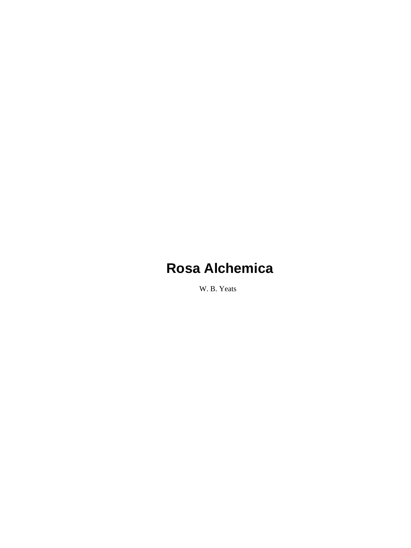W. B. Yeats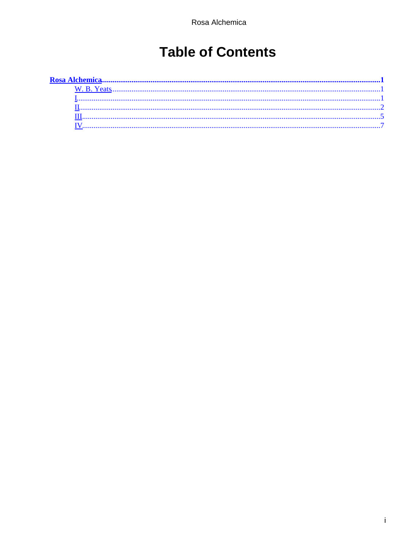# **Table of Contents**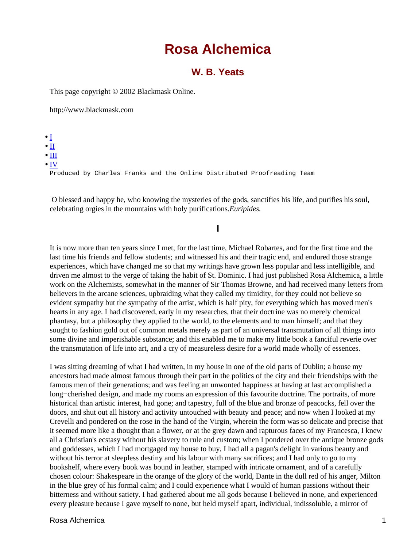## **W. B. Yeats**

<span id="page-2-0"></span>This page copyright © 2002 Blackmask Online.

http://www.blackmask.com

 $\bullet$  I  $\bullet$  [II](#page-3-0)  $\bullet$  [III](#page-6-0) • [IV](#page-8-0) Produced by Charles Franks and the Online Distributed Proofreading Team

 O blessed and happy he, who knowing the mysteries of the gods, sanctifies his life, and purifies his soul, celebrating orgies in the mountains with holy purifications.*Euripides.*

### **I**

It is now more than ten years since I met, for the last time, Michael Robartes, and for the first time and the last time his friends and fellow students; and witnessed his and their tragic end, and endured those strange experiences, which have changed me so that my writings have grown less popular and less intelligible, and driven me almost to the verge of taking the habit of St. Dominic. I had just published Rosa Alchemica, a little work on the Alchemists, somewhat in the manner of Sir Thomas Browne, and had received many letters from believers in the arcane sciences, upbraiding what they called my timidity, for they could not believe so evident sympathy but the sympathy of the artist, which is half pity, for everything which has moved men's hearts in any age. I had discovered, early in my researches, that their doctrine was no merely chemical phantasy, but a philosophy they applied to the world, to the elements and to man himself; and that they sought to fashion gold out of common metals merely as part of an universal transmutation of all things into some divine and imperishable substance; and this enabled me to make my little book a fanciful reverie over the transmutation of life into art, and a cry of measureless desire for a world made wholly of essences.

I was sitting dreaming of what I had written, in my house in one of the old parts of Dublin; a house my ancestors had made almost famous through their part in the politics of the city and their friendships with the famous men of their generations; and was feeling an unwonted happiness at having at last accomplished a long−cherished design, and made my rooms an expression of this favourite doctrine. The portraits, of more historical than artistic interest, had gone; and tapestry, full of the blue and bronze of peacocks, fell over the doors, and shut out all history and activity untouched with beauty and peace; and now when I looked at my Crevelli and pondered on the rose in the hand of the Virgin, wherein the form was so delicate and precise that it seemed more like a thought than a flower, or at the grey dawn and rapturous faces of my Francesca, I knew all a Christian's ecstasy without his slavery to rule and custom; when I pondered over the antique bronze gods and goddesses, which I had mortgaged my house to buy, I had all a pagan's delight in various beauty and without his terror at sleepless destiny and his labour with many sacrifices; and I had only to go to my bookshelf, where every book was bound in leather, stamped with intricate ornament, and of a carefully chosen colour: Shakespeare in the orange of the glory of the world, Dante in the dull red of his anger, Milton in the blue grey of his formal calm; and I could experience what I would of human passions without their bitterness and without satiety. I had gathered about me all gods because I believed in none, and experienced every pleasure because I gave myself to none, but held myself apart, individual, indissoluble, a mirror of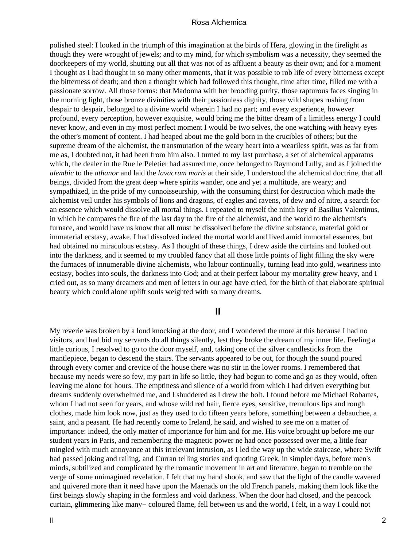<span id="page-3-0"></span>polished steel: I looked in the triumph of this imagination at the birds of Hera, glowing in the firelight as though they were wrought of jewels; and to my mind, for which symbolism was a necessity, they seemed the doorkeepers of my world, shutting out all that was not of as affluent a beauty as their own; and for a moment I thought as I had thought in so many other moments, that it was possible to rob life of every bitterness except the bitterness of death; and then a thought which had followed this thought, time after time, filled me with a passionate sorrow. All those forms: that Madonna with her brooding purity, those rapturous faces singing in the morning light, those bronze divinities with their passionless dignity, those wild shapes rushing from despair to despair, belonged to a divine world wherein I had no part; and every experience, however profound, every perception, however exquisite, would bring me the bitter dream of a limitless energy I could never know, and even in my most perfect moment I would be two selves, the one watching with heavy eyes the other's moment of content. I had heaped about me the gold born in the crucibles of others; but the supreme dream of the alchemist, the transmutation of the weary heart into a weariless spirit, was as far from me as, I doubted not, it had been from him also. I turned to my last purchase, a set of alchemical apparatus which, the dealer in the Rue le Peletier had assured me, once belonged to Raymond Lully, and as I joined the *alembic* to the *athanor* and laid the *lavacrum maris* at their side, I understood the alchemical doctrine, that all beings, divided from the great deep where spirits wander, one and yet a multitude, are weary; and sympathized, in the pride of my connoisseurship, with the consuming thirst for destruction which made the alchemist veil under his symbols of lions and dragons, of eagles and ravens, of dew and of nitre, a search for an essence which would dissolve all mortal things. I repeated to myself the ninth key of Basilius Valentinus, in which he compares the fire of the last day to the fire of the alchemist, and the world to the alchemist's furnace, and would have us know that all must be dissolved before the divine substance, material gold or immaterial ecstasy, awake. I had dissolved indeed the mortal world and lived amid immortal essences, but had obtained no miraculous ecstasy. As I thought of these things, I drew aside the curtains and looked out into the darkness, and it seemed to my troubled fancy that all those little points of light filling the sky were the furnaces of innumerable divine alchemists, who labour continually, turning lead into gold, weariness into ecstasy, bodies into souls, the darkness into God; and at their perfect labour my mortality grew heavy, and I cried out, as so many dreamers and men of letters in our age have cried, for the birth of that elaborate spiritual beauty which could alone uplift souls weighted with so many dreams.

#### **II**

My reverie was broken by a loud knocking at the door, and I wondered the more at this because I had no visitors, and had bid my servants do all things silently, lest they broke the dream of my inner life. Feeling a little curious, I resolved to go to the door myself, and, taking one of the silver candlesticks from the mantlepiece, began to descend the stairs. The servants appeared to be out, for though the sound poured through every corner and crevice of the house there was no stir in the lower rooms. I remembered that because my needs were so few, my part in life so little, they had begun to come and go as they would, often leaving me alone for hours. The emptiness and silence of a world from which I had driven everything but dreams suddenly overwhelmed me, and I shuddered as I drew the bolt. I found before me Michael Robartes, whom I had not seen for years, and whose wild red hair, fierce eyes, sensitive, tremulous lips and rough clothes, made him look now, just as they used to do fifteen years before, something between a debauchee, a saint, and a peasant. He had recently come to Ireland, he said, and wished to see me on a matter of importance: indeed, the only matter of importance for him and for me. His voice brought up before me our student years in Paris, and remembering the magnetic power ne had once possessed over me, a little fear mingled with much annoyance at this irrelevant intrusion, as I led the way up the wide staircase, where Swift had passed joking and railing, and Curran telling stories and quoting Greek, in simpler days, before men's minds, subtilized and complicated by the romantic movement in art and literature, began to tremble on the verge of some unimagined revelation. I felt that my hand shook, and saw that the light of the candle wavered and quivered more than it need have upon the Maenads on the old French panels, making them look like the first beings slowly shaping in the formless and void darkness. When the door had closed, and the peacock curtain, glimmering like many− coloured flame, fell between us and the world, I felt, in a way I could not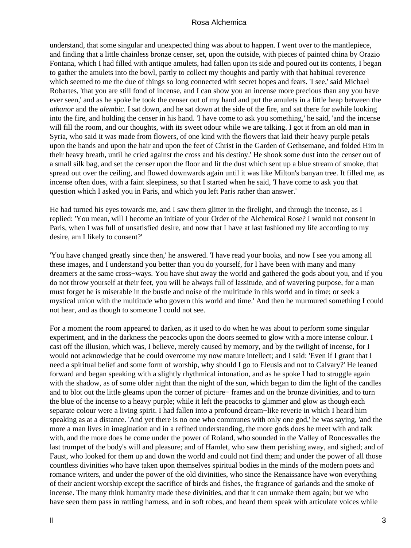understand, that some singular and unexpected thing was about to happen. I went over to the mantlepiece, and finding that a little chainless bronze censer, set, upon the outside, with pieces of painted china by Orazio Fontana, which I had filled with antique amulets, had fallen upon its side and poured out its contents, I began to gather the amulets into the bowl, partly to collect my thoughts and partly with that habitual reverence which seemed to me the due of things so long connected with secret hopes and fears. 'I see,' said Michael Robartes, 'that you are still fond of incense, and I can show you an incense more precious than any you have ever seen,' and as he spoke he took the censer out of my hand and put the amulets in a little heap between the *athanor* and the *alembic*. I sat down, and he sat down at the side of the fire, and sat there for awhile looking into the fire, and holding the censer in his hand. 'I have come to ask you something,' he said, 'and the incense will fill the room, and our thoughts, with its sweet odour while we are talking. I got it from an old man in Syria, who said it was made from flowers, of one kind with the flowers that laid their heavy purple petals upon the hands and upon the hair and upon the feet of Christ in the Garden of Gethsemane, and folded Him in their heavy breath, until he cried against the cross and his destiny.' He shook some dust into the censer out of a small silk bag, and set the censer upon the floor and lit the dust which sent up a blue stream of smoke, that spread out over the ceiling, and flowed downwards again until it was like Milton's banyan tree. It filled me, as incense often does, with a faint sleepiness, so that I started when he said, 'I have come to ask you that question which I asked you in Paris, and which you left Paris rather than answer.'

He had turned his eyes towards me, and I saw them glitter in the firelight, and through the incense, as I replied: 'You mean, will I become an initiate of your Order of the Alchemical Rose? I would not consent in Paris, when I was full of unsatisfied desire, and now that I have at last fashioned my life according to my desire, am I likely to consent?'

'You have changed greatly since then,' he answered. 'I have read your books, and now I see you among all these images, and I understand you better than you do yourself, for I have been with many and many dreamers at the same cross−ways. You have shut away the world and gathered the gods about you, and if you do not throw yourself at their feet, you will be always full of lassitude, and of wavering purpose, for a man must forget he is miserable in the bustle and noise of the multitude in this world and in time; or seek a mystical union with the multitude who govern this world and time.' And then he murmured something I could not hear, and as though to someone I could not see.

For a moment the room appeared to darken, as it used to do when he was about to perform some singular experiment, and in the darkness the peacocks upon the doors seemed to glow with a more intense colour. I cast off the illusion, which was, I believe, merely caused by memory, and by the twilight of incense, for I would not acknowledge that he could overcome my now mature intellect; and I said: 'Even if I grant that I need a spiritual belief and some form of worship, why should I go to Eleusis and not to Calvary?' He leaned forward and began speaking with a slightly rhythmical intonation, and as he spoke I had to struggle again with the shadow, as of some older night than the night of the sun, which began to dim the light of the candles and to blot out the little gleams upon the corner of picture− frames and on the bronze divinities, and to turn the blue of the incense to a heavy purple; while it left the peacocks to glimmer and glow as though each separate colour were a living spirit. I had fallen into a profound dream−like reverie in which I heard him speaking as at a distance. 'And yet there is no one who communes with only one god,' he was saying, 'and the more a man lives in imagination and in a refined understanding, the more gods does he meet with and talk with, and the more does he come under the power of Roland, who sounded in the Valley of Roncesvalles the last trumpet of the body's will and pleasure; and of Hamlet, who saw them perishing away, and sighed; and of Faust, who looked for them up and down the world and could not find them; and under the power of all those countless divinities who have taken upon themselves spiritual bodies in the minds of the modern poets and romance writers, and under the power of the old divinities, who since the Renaissance have won everything of their ancient worship except the sacrifice of birds and fishes, the fragrance of garlands and the smoke of incense. The many think humanity made these divinities, and that it can unmake them again; but we who have seen them pass in rattling harness, and in soft robes, and heard them speak with articulate voices while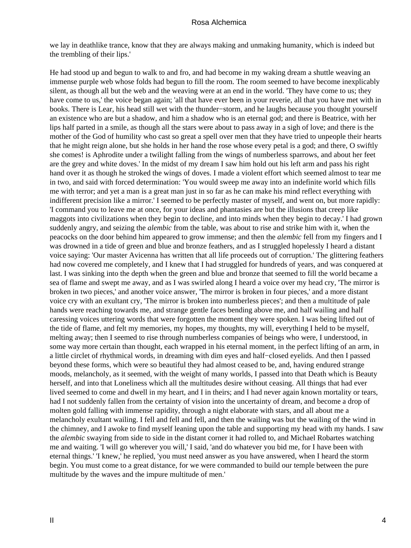we lay in deathlike trance, know that they are always making and unmaking humanity, which is indeed but the trembling of their lips.'

He had stood up and begun to walk to and fro, and had become in my waking dream a shuttle weaving an immense purple web whose folds had begun to fill the room. The room seemed to have become inexplicably silent, as though all but the web and the weaving were at an end in the world. 'They have come to us; they have come to us,' the voice began again; 'all that have ever been in your reverie, all that you have met with in books. There is Lear, his head still wet with the thunder−storm, and he laughs because you thought yourself an existence who are but a shadow, and him a shadow who is an eternal god; and there is Beatrice, with her lips half parted in a smile, as though all the stars were about to pass away in a sigh of love; and there is the mother of the God of humility who cast so great a spell over men that they have tried to unpeople their hearts that he might reign alone, but she holds in her hand the rose whose every petal is a god; and there, O swiftly she comes! is Aphrodite under a twilight falling from the wings of numberless sparrows, and about her feet are the grey and white doves.' In the midst of my dream I saw him hold out his left arm and pass his right hand over it as though he stroked the wings of doves. I made a violent effort which seemed almost to tear me in two, and said with forced determination: 'You would sweep me away into an indefinite world which fills me with terror; and yet a man is a great man just in so far as he can make his mind reflect everything with indifferent precision like a mirror.' I seemed to be perfectly master of myself, and went on, but more rapidly: 'I command you to leave me at once, for your ideas and phantasies are but the illusions that creep like maggots into civilizations when they begin to decline, and into minds when they begin to decay.' I had grown suddenly angry, and seizing the *alembic* from the table, was about to rise and strike him with it, when the peacocks on the door behind him appeared to grow immense; and then the *alembic* fell from my fingers and I was drowned in a tide of green and blue and bronze feathers, and as I struggled hopelessly I heard a distant voice saying: 'Our master Avicenna has written that all life proceeds out of corruption.' The glittering feathers had now covered me completely, and I knew that I had struggled for hundreds of years, and was conquered at last. I was sinking into the depth when the green and blue and bronze that seemed to fill the world became a sea of flame and swept me away, and as I was swirled along I heard a voice over my head cry, 'The mirror is broken in two pieces,' and another voice answer, 'The mirror is broken in four pieces,' and a more distant voice cry with an exultant cry, 'The mirror is broken into numberless pieces'; and then a multitude of pale hands were reaching towards me, and strange gentle faces bending above me, and half wailing and half caressing voices uttering words that were forgotten the moment they were spoken. I was being lifted out of the tide of flame, and felt my memories, my hopes, my thoughts, my will, everything I held to be myself, melting away; then I seemed to rise through numberless companies of beings who were, I understood, in some way more certain than thought, each wrapped in his eternal moment, in the perfect lifting of an arm, in a little circlet of rhythmical words, in dreaming with dim eyes and half−closed eyelids. And then I passed beyond these forms, which were so beautiful they had almost ceased to be, and, having endured strange moods, melancholy, as it seemed, with the weight of many worlds, I passed into that Death which is Beauty herself, and into that Loneliness which all the multitudes desire without ceasing. All things that had ever lived seemed to come and dwell in my heart, and I in theirs; and I had never again known mortality or tears, had I not suddenly fallen from the certainty of vision into the uncertainty of dream, and become a drop of molten gold falling with immense rapidity, through a night elaborate with stars, and all about me a melancholy exultant wailing. I fell and fell and fell, and then the wailing was but the wailing of the wind in the chimney, and I awoke to find myself leaning upon the table and supporting my head with my hands. I saw the *alembic* swaying from side to side in the distant corner it had rolled to, and Michael Robartes watching me and waiting. 'I will go wherever you will,' I said, 'and do whatever you bid me, for I have been with eternal things.' 'I knew,' he replied, 'you must need answer as you have answered, when I heard the storm begin. You must come to a great distance, for we were commanded to build our temple between the pure multitude by the waves and the impure multitude of men.'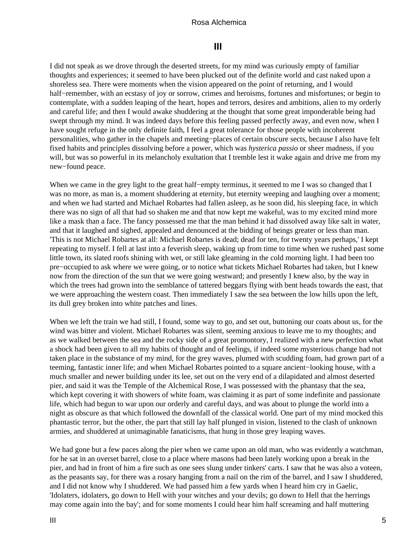# **III**

<span id="page-6-0"></span>I did not speak as we drove through the deserted streets, for my mind was curiously empty of familiar thoughts and experiences; it seemed to have been plucked out of the definite world and cast naked upon a shoreless sea. There were moments when the vision appeared on the point of returning, and I would half−remember, with an ecstasy of joy or sorrow, crimes and heroisms, fortunes and misfortunes; or begin to contemplate, with a sudden leaping of the heart, hopes and terrors, desires and ambitions, alien to my orderly and careful life; and then I would awake shuddering at the thought that some great imponderable being had swept through my mind. It was indeed days before this feeling passed perfectly away, and even now, when I have sought refuge in the only definite faith, I feel a great tolerance for those people with incoherent personalities, who gather in the chapels and meeting−places of certain obscure sects, because I also have felt fixed habits and principles dissolving before a power, which was *hysterica passio* or sheer madness, if you will, but was so powerful in its melancholy exultation that I tremble lest it wake again and drive me from my new−found peace.

When we came in the grey light to the great half−empty terminus, it seemed to me I was so changed that I was no more, as man is, a moment shuddering at eternity, but eternity weeping and laughing over a moment; and when we had started and Michael Robartes had fallen asleep, as he soon did, his sleeping face, in which there was no sign of all that had so shaken me and that now kept me wakeful, was to my excited mind more like a mask than a face. The fancy possessed me that the man behind it had dissolved away like salt in water, and that it laughed and sighed, appealed and denounced at the bidding of beings greater or less than man. 'This is not Michael Robartes at all: Michael Robartes is dead; dead for ten, for twenty years perhaps,' I kept repeating to myself. I fell at last into a feverish sleep, waking up from time to time when we rushed past some little town, its slated roofs shining with wet, or still lake gleaming in the cold morning light. I had been too pre−occupied to ask where we were going, or to notice what tickets Michael Robartes had taken, but I knew now from the direction of the sun that we were going westward; and presently I knew also, by the way in which the trees had grown into the semblance of tattered beggars flying with bent heads towards the east, that we were approaching the western coast. Then immediately I saw the sea between the low hills upon the left, its dull grey broken into white patches and lines.

When we left the train we had still, I found, some way to go, and set out, buttoning our coats about us, for the wind was bitter and violent. Michael Robartes was silent, seeming anxious to leave me to my thoughts; and as we walked between the sea and the rocky side of a great promontory, I realized with a new perfection what a shock had been given to all my habits of thought and of feelings, if indeed some mysterious change had not taken place in the substance of my mind, for the grey waves, plumed with scudding foam, had grown part of a teeming, fantastic inner life; and when Michael Robartes pointed to a square ancient−looking house, with a much smaller and newer building under its lee, set out on the very end of a dilapidated and almost deserted pier, and said it was the Temple of the Alchemical Rose, I was possessed with the phantasy that the sea, which kept covering it with showers of white foam, was claiming it as part of some indefinite and passionate life, which had begun to war upon our orderly and careful days, and was about to plunge the world into a night as obscure as that which followed the downfall of the classical world. One part of my mind mocked this phantastic terror, but the other, the part that still lay half plunged in vision, listened to the clash of unknown armies, and shuddered at unimaginable fanaticisms, that hung in those grey leaping waves.

We had gone but a few paces along the pier when we came upon an old man, who was evidently a watchman, for he sat in an overset barrel, close to a place where masons had been lately working upon a break in the pier, and had in front of him a fire such as one sees slung under tinkers' carts. I saw that he was also a voteen, as the peasants say, for there was a rosary hanging from a nail on the rim of the barrel, and I saw I shuddered, and I did not know why I shuddered. We had passed him a few yards when I heard him cry in Gaelic, 'Idolaters, idolaters, go down to Hell with your witches and your devils; go down to Hell that the herrings may come again into the bay'; and for some moments I could hear him half screaming and half muttering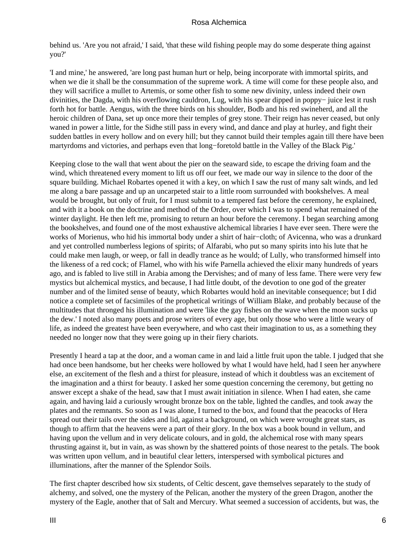behind us. 'Are you not afraid,' I said, 'that these wild fishing people may do some desperate thing against you?'

'I and mine,' he answered, 'are long past human hurt or help, being incorporate with immortal spirits, and when we die it shall be the consummation of the supreme work. A time will come for these people also, and they will sacrifice a mullet to Artemis, or some other fish to some new divinity, unless indeed their own divinities, the Dagda, with his overflowing cauldron, Lug, with his spear dipped in poppy− juice lest it rush forth hot for battle. Aengus, with the three birds on his shoulder, Bodb and his red swineherd, and all the heroic children of Dana, set up once more their temples of grey stone. Their reign has never ceased, but only waned in power a little, for the Sidhe still pass in every wind, and dance and play at hurley, and fight their sudden battles in every hollow and on every hill; but they cannot build their temples again till there have been martyrdoms and victories, and perhaps even that long−foretold battle in the Valley of the Black Pig.'

Keeping close to the wall that went about the pier on the seaward side, to escape the driving foam and the wind, which threatened every moment to lift us off our feet, we made our way in silence to the door of the square building. Michael Robartes opened it with a key, on which I saw the rust of many salt winds, and led me along a bare passage and up an uncarpeted stair to a little room surrounded with bookshelves. A meal would be brought, but only of fruit, for I must submit to a tempered fast before the ceremony, he explained, and with it a book on the doctrine and method of the Order, over which I was to spend what remained of the winter daylight. He then left me, promising to return an hour before the ceremony. I began searching among the bookshelves, and found one of the most exhaustive alchemical libraries I have ever seen. There were the works of Morienus, who hid his immortal body under a shirt of hair−cloth; of Avicenna, who was a drunkard and yet controlled numberless legions of spirits; of Alfarabi, who put so many spirits into his lute that he could make men laugh, or weep, or fall in deadly trance as he would; of Lully, who transformed himself into the likeness of a red cock; of Flamel, who with his wife Parnella achieved the elixir many hundreds of years ago, and is fabled to live still in Arabia among the Dervishes; and of many of less fame. There were very few mystics but alchemical mystics, and because, I had little doubt, of the devotion to one god of the greater number and of the limited sense of beauty, which Robartes would hold an inevitable consequence; but I did notice a complete set of facsimiles of the prophetical writings of William Blake, and probably because of the multitudes that thronged his illumination and were 'like the gay fishes on the wave when the moon sucks up the dew.' I noted also many poets and prose writers of every age, but only those who were a little weary of life, as indeed the greatest have been everywhere, and who cast their imagination to us, as a something they needed no longer now that they were going up in their fiery chariots.

Presently I heard a tap at the door, and a woman came in and laid a little fruit upon the table. I judged that she had once been handsome, but her cheeks were hollowed by what I would have held, had I seen her anywhere else, an excitement of the flesh and a thirst for pleasure, instead of which it doubtless was an excitement of the imagination and a thirst for beauty. I asked her some question concerning the ceremony, but getting no answer except a shake of the head, saw that I must await initiation in silence. When I had eaten, she came again, and having laid a curiously wrought bronze box on the table, lighted the candles, and took away the plates and the remnants. So soon as I was alone, I turned to the box, and found that the peacocks of Hera spread out their tails over the sides and lid, against a background, on which were wrought great stars, as though to affirm that the heavens were a part of their glory. In the box was a book bound in vellum, and having upon the vellum and in very delicate colours, and in gold, the alchemical rose with many spears thrusting against it, but in vain, as was shown by the shattered points of those nearest to the petals. The book was written upon vellum, and in beautiful clear letters, interspersed with symbolical pictures and illuminations, after the manner of the Splendor Soils.

The first chapter described how six students, of Celtic descent, gave themselves separately to the study of alchemy, and solved, one the mystery of the Pelican, another the mystery of the green Dragon, another the mystery of the Eagle, another that of Salt and Mercury. What seemed a succession of accidents, but was, the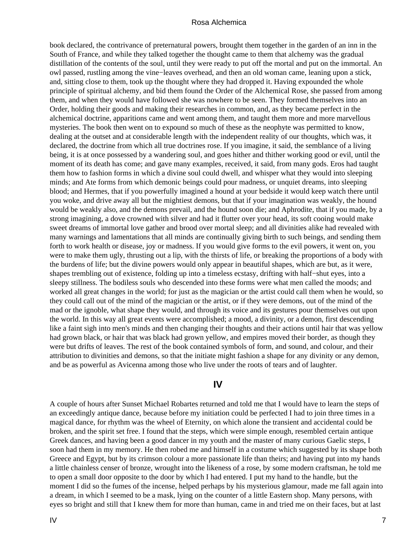<span id="page-8-0"></span>book declared, the contrivance of preternatural powers, brought them together in the garden of an inn in the South of France, and while they talked together the thought came to them that alchemy was the gradual distillation of the contents of the soul, until they were ready to put off the mortal and put on the immortal. An owl passed, rustling among the vine−leaves overhead, and then an old woman came, leaning upon a stick, and, sitting close to them, took up the thought where they had dropped it. Having expounded the whole principle of spiritual alchemy, and bid them found the Order of the Alchemical Rose, she passed from among them, and when they would have followed she was nowhere to be seen. They formed themselves into an Order, holding their goods and making their researches in common, and, as they became perfect in the alchemical doctrine, apparitions came and went among them, and taught them more and more marvellous mysteries. The book then went on to expound so much of these as the neophyte was permitted to know, dealing at the outset and at considerable length with the independent reality of our thoughts, which was, it declared, the doctrine from which all true doctrines rose. If you imagine, it said, the semblance of a living being, it is at once possessed by a wandering soul, and goes hither and thither working good or evil, until the moment of its death has come; and gave many examples, received, it said, from many gods. Eros had taught them how to fashion forms in which a divine soul could dwell, and whisper what they would into sleeping minds; and Ate forms from which demonic beings could pour madness, or unquiet dreams, into sleeping blood; and Hermes, that if you powerfully imagined a hound at your bedside it would keep watch there until you woke, and drive away all but the mightiest demons, but that if your imagination was weakly, the hound would be weakly also, and the demons prevail, and the hound soon die; and Aphrodite, that if you made, by a strong imagining, a dove crowned with silver and had it flutter over your head, its soft cooing would make sweet dreams of immortal love gather and brood over mortal sleep; and all divinities alike had revealed with many warnings and lamentations that all minds are continually giving birth to such beings, and sending them forth to work health or disease, joy or madness. If you would give forms to the evil powers, it went on, you were to make them ugly, thrusting out a lip, with the thirsts of life, or breaking the proportions of a body with the burdens of life; but the divine powers would only appear in beautiful shapes, which are but, as it were, shapes trembling out of existence, folding up into a timeless ecstasy, drifting with half−shut eyes, into a sleepy stillness. The bodiless souls who descended into these forms were what men called the moods; and worked all great changes in the world; for just as the magician or the artist could call them when he would, so they could call out of the mind of the magician or the artist, or if they were demons, out of the mind of the mad or the ignoble, what shape they would, and through its voice and its gestures pour themselves out upon the world. In this way all great events were accomplished; a mood, a divinity, or a demon, first descending like a faint sigh into men's minds and then changing their thoughts and their actions until hair that was yellow had grown black, or hair that was black had grown yellow, and empires moved their border, as though they were but drifts of leaves. The rest of the book contained symbols of form, and sound, and colour, and their attribution to divinities and demons, so that the initiate might fashion a shape for any divinity or any demon, and be as powerful as Avicenna among those who live under the roots of tears and of laughter.

### **IV**

A couple of hours after Sunset Michael Robartes returned and told me that I would have to learn the steps of an exceedingly antique dance, because before my initiation could be perfected I had to join three times in a magical dance, for rhythm was the wheel of Eternity, on which alone the transient and accidental could be broken, and the spirit set free. I found that the steps, which were simple enough, resembled certain antique Greek dances, and having been a good dancer in my youth and the master of many curious Gaelic steps, I soon had them in my memory. He then robed me and himself in a costume which suggested by its shape both Greece and Egypt, but by its crimson colour a more passionate life than theirs; and having put into my hands a little chainless censer of bronze, wrought into the likeness of a rose, by some modern craftsman, he told me to open a small door opposite to the door by which I had entered. I put my hand to the handle, but the moment I did so the fumes of the incense, helped perhaps by his mysterious glamour, made me fall again into a dream, in which I seemed to be a mask, lying on the counter of a little Eastern shop. Many persons, with eyes so bright and still that I knew them for more than human, came in and tried me on their faces, but at last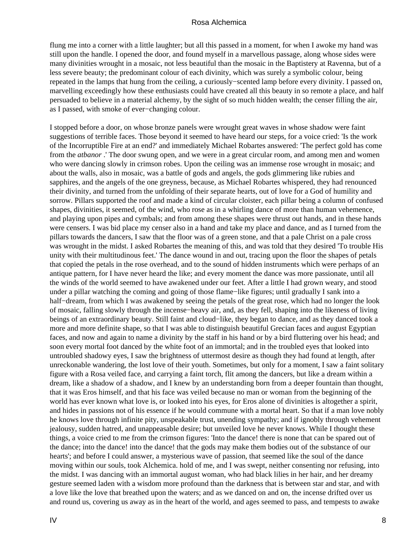flung me into a corner with a little laughter; but all this passed in a moment, for when I awoke my hand was still upon the handle. I opened the door, and found myself in a marvellous passage, along whose sides were many divinities wrought in a mosaic, not less beautiful than the mosaic in the Baptistery at Ravenna, but of a less severe beauty; the predominant colour of each divinity, which was surely a symbolic colour, being repeated in the lamps that hung from the ceiling, a curiously−scented lamp before every divinity. I passed on, marvelling exceedingly how these enthusiasts could have created all this beauty in so remote a place, and half persuaded to believe in a material alchemy, by the sight of so much hidden wealth; the censer filling the air, as I passed, with smoke of ever−changing colour.

I stopped before a door, on whose bronze panels were wrought great waves in whose shadow were faint suggestions of terrible faces. Those beyond it seemed to have heard our steps, for a voice cried: 'Is the work of the Incorruptible Fire at an end?' and immediately Michael Robartes answered: 'The perfect gold has come from the *atbanor* .' The door swung open, and we were in a great circular room, and among men and women who were dancing slowly in crimson robes. Upon the ceiling was an immense rose wrought in mosaic; and about the walls, also in mosaic, was a battle of gods and angels, the gods glimmering like rubies and sapphires, and the angels of the one greyness, because, as Michael Robartes whispered, they had renounced their divinity, and turned from the unfolding of their separate hearts, out of love for a God of humility and sorrow. Pillars supported the roof and made a kind of circular cloister, each pillar being a column of confused shapes, divinities, it seemed, of the wind, who rose as in a whirling dance of more than human vehemence, and playing upon pipes and cymbals; and from among these shapes were thrust out hands, and in these hands were censers. I was bid place my censer also in a hand and take my place and dance, and as I turned from the pillars towards the dancers, I saw that the floor was of a green stone, and that a pale Christ on a pale cross was wrought in the midst. I asked Robartes the meaning of this, and was told that they desired 'To trouble His unity with their multitudinous feet.' The dance wound in and out, tracing upon the floor the shapes of petals that copied the petals in the rose overhead, and to the sound of hidden instruments which were perhaps of an antique pattern, for I have never heard the like; and every moment the dance was more passionate, until all the winds of the world seemed to have awakened under our feet. After a little I had grown weary, and stood under a pillar watching the coming and going of those flame−like figures; until gradually I sank into a half−dream, from which I was awakened by seeing the petals of the great rose, which had no longer the look of mosaic, falling slowly through the incense−heavy air, and, as they fell, shaping into the likeness of living beings of an extraordinary beauty. Still faint and cloud−like, they began to dance, and as they danced took a more and more definite shape, so that I was able to distinguish beautiful Grecian faces and august Egyptian faces, and now and again to name a divinity by the staff in his hand or by a bird fluttering over his head; and soon every mortal foot danced by the white foot of an immortal; and in the troubled eyes that looked into untroubled shadowy eyes, I saw the brightness of uttermost desire as though they had found at length, after unreckonable wandering, the lost love of their youth. Sometimes, but only for a moment, I saw a faint solitary figure with a Rosa veiled face, and carrying a faint torch, flit among the dancers, but like a dream within a dream, like a shadow of a shadow, and I knew by an understanding born from a deeper fountain than thought, that it was Eros himself, and that his face was veiled because no man or woman from the beginning of the world has ever known what love is, or looked into his eyes, for Eros alone of divinities is altogether a spirit, and hides in passions not of his essence if he would commune with a mortal heart. So that if a man love nobly he knows love through infinite pity, unspeakable trust, unending sympathy; and if ignobly through vehement jealousy, sudden hatred, and unappeasable desire; but unveiled love he never knows. While I thought these things, a voice cried to me from the crimson figures: 'Into the dance! there is none that can be spared out of the dance; into the dance! into the dance! that the gods may make them bodies out of the substance of our hearts'; and before I could answer, a mysterious wave of passion, that seemed like the soul of the dance moving within our souls, took Alchemica. hold of me, and I was swept, neither consenting nor refusing, into the midst. I was dancing with an immortal august woman, who had black lilies in her hair, and her dreamy gesture seemed laden with a wisdom more profound than the darkness that is between star and star, and with a love like the love that breathed upon the waters; and as we danced on and on, the incense drifted over us and round us, covering us away as in the heart of the world, and ages seemed to pass, and tempests to awake